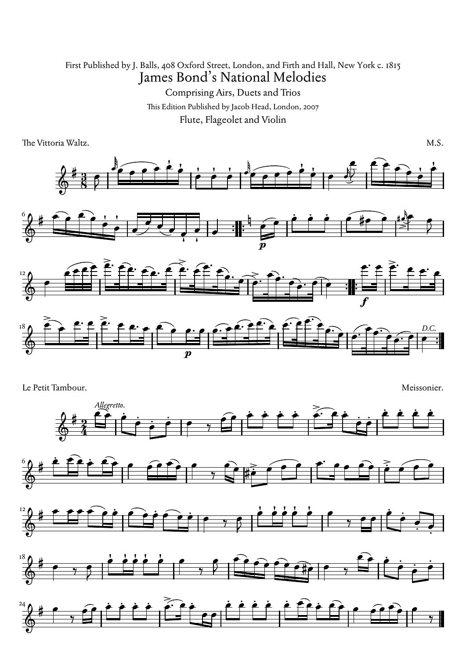Comprising Airs, Duets and Trios James Bond's National Melodies First Published by J. Balls, 408 Oxford Street, London, and Firth and Hall, New York c. 1815

This Edition Published by Jacob Head, London, 2007

Flute, Flageolet and Violin

e Vittoria Waltz. M.S. M.S. We will be vittorial water of the Vittoria Waltz.



Le Petit Tambour. Meissonier.

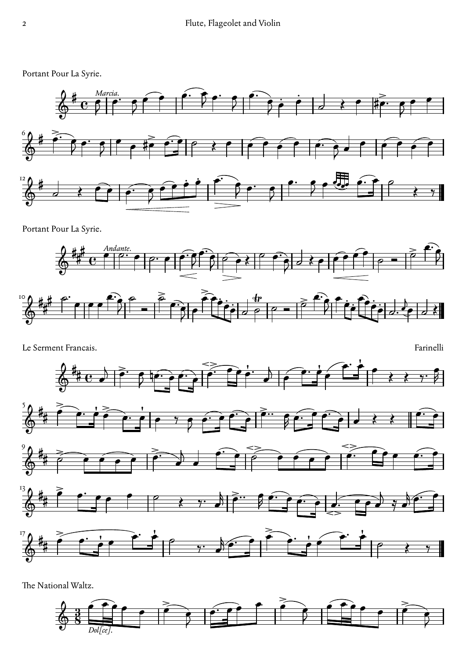Portant Pour La Syrie.



Portant Pour La Syrie.





Farinelli









The National Waltz.

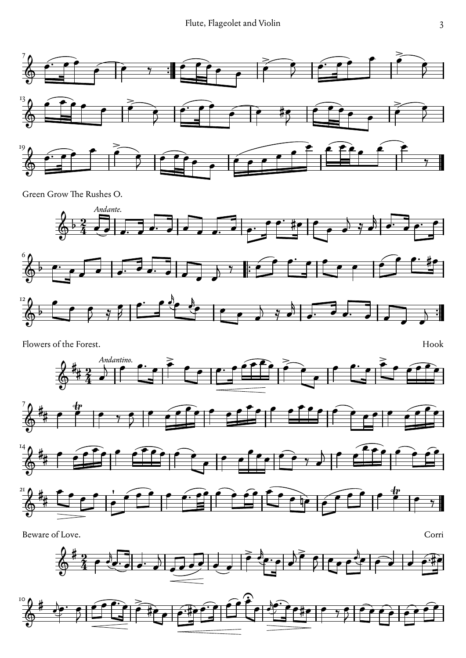

Green Grow The Rushes O.



Flowers of the Forest. Hook









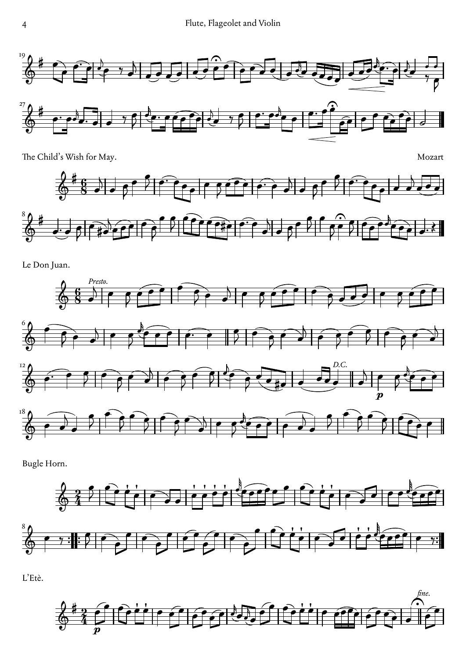

The Child's Wish for May.

Mozart





Le Don Juan.



Bugle Horn.



L'Etè.

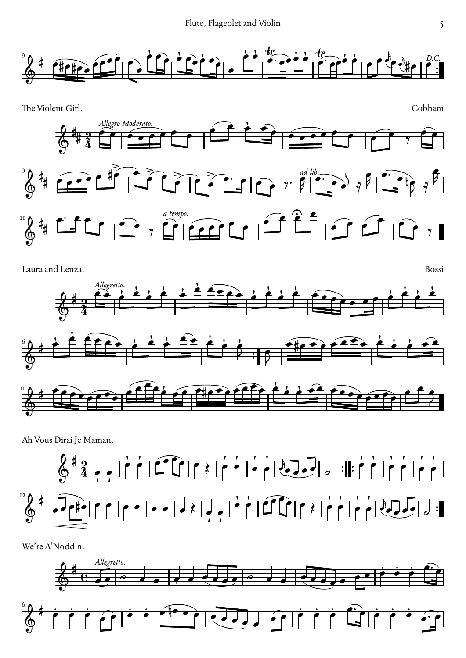





Ah Vous Dirai Je Maman.



We're A'Noddin.

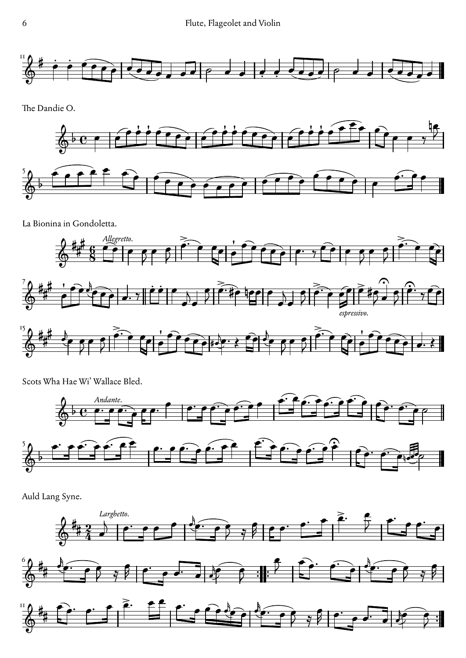

The Dandie O.



La Bionina in Gondoletta.



Scots Wha Hae Wi' Wallace Bled.



Auld Lang Syne.

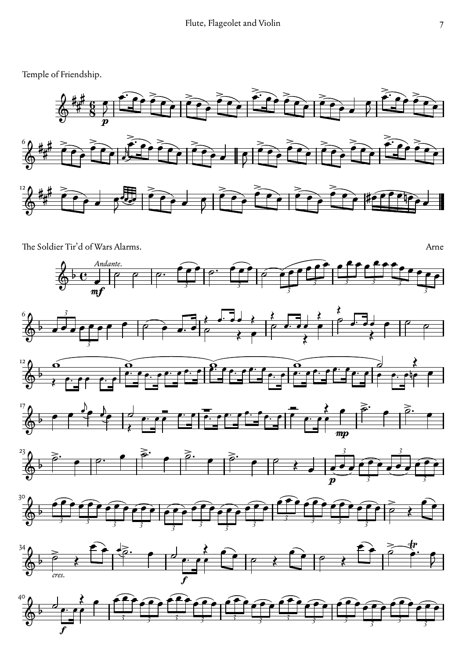Temple of Friendship.

















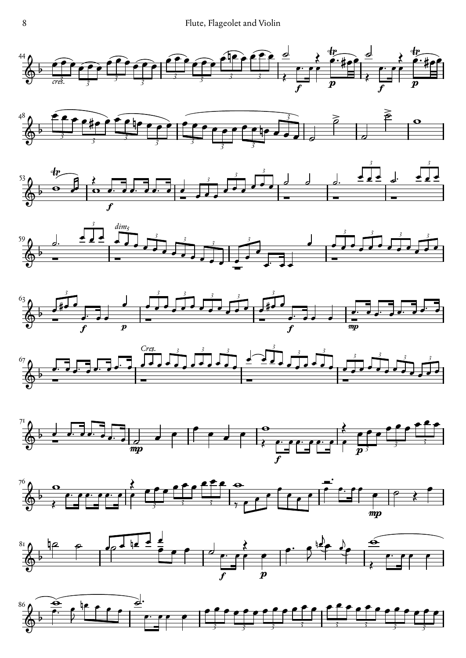

















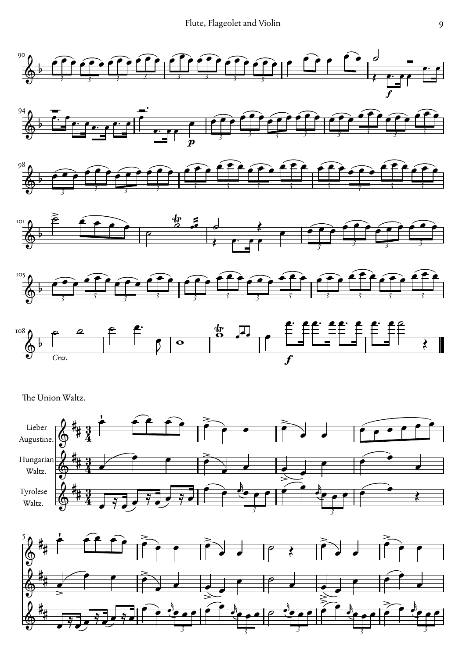

The Union Waltz.



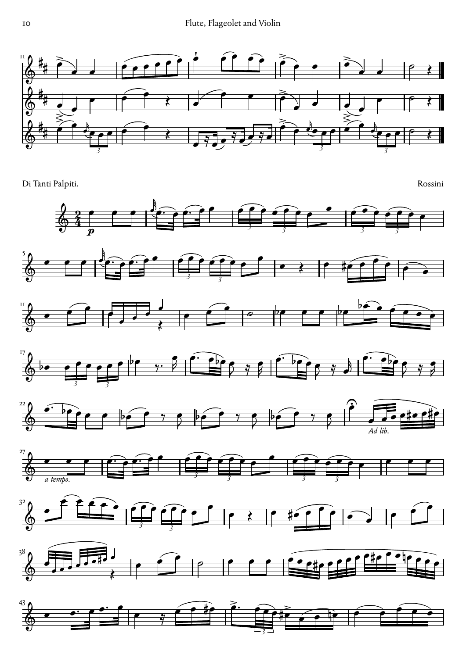

```
Di Tanti Palpiti. Rossini
```


*3*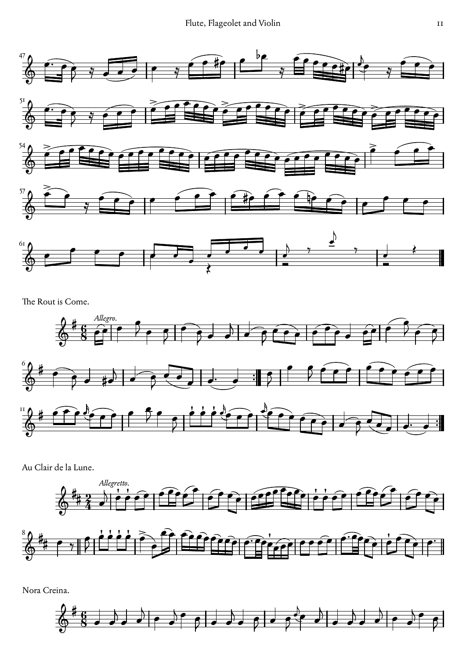

The Rout is Come.



Au Clair de la Lune.





Nora Creina.

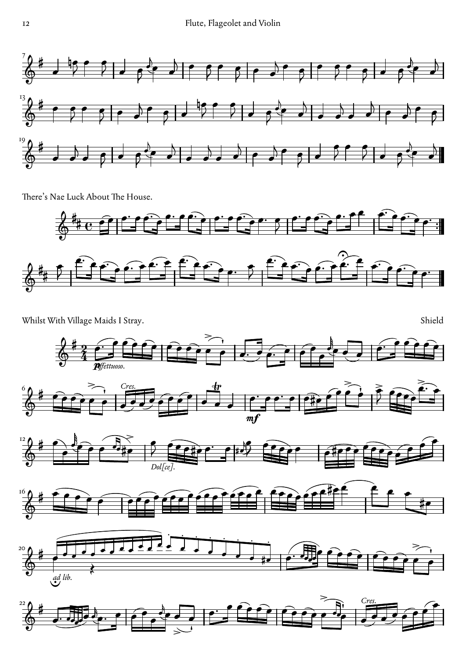

There's Nae Luck About The House.



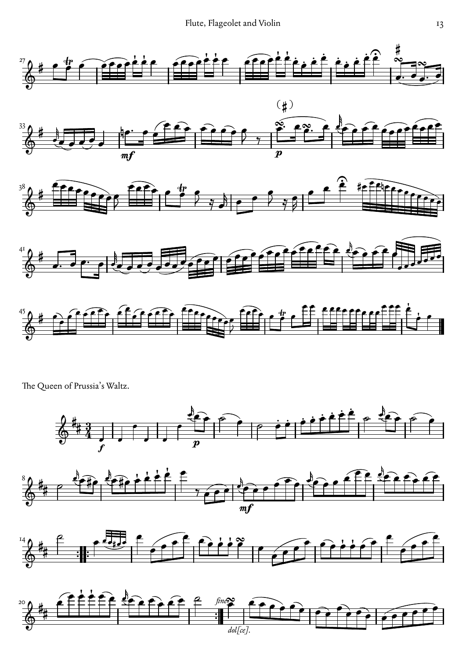![](_page_12_Figure_1.jpeg)

The Queen of Prussia's Waltz.

![](_page_12_Figure_3.jpeg)

![](_page_12_Figure_4.jpeg)

![](_page_12_Figure_5.jpeg)

![](_page_12_Figure_6.jpeg)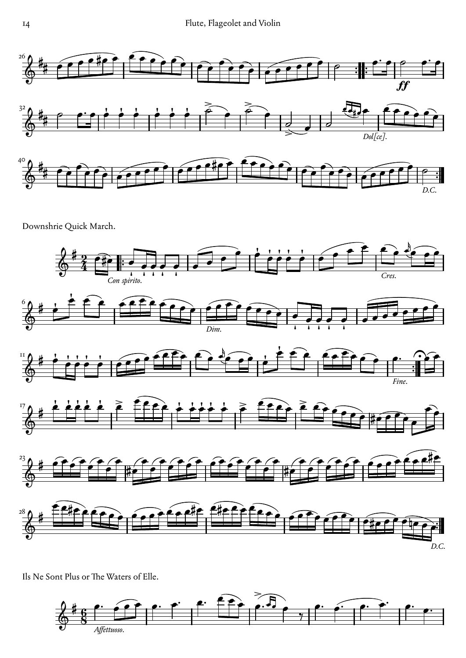![](_page_13_Figure_1.jpeg)

Ils Ne Sont Plus or The Waters of Elle.

![](_page_13_Figure_3.jpeg)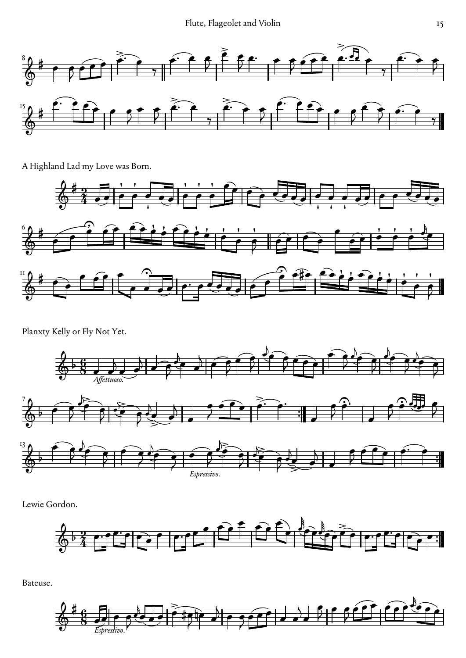![](_page_14_Figure_1.jpeg)

A Highland Lad my Love was Born.

![](_page_14_Figure_3.jpeg)

Planxty Kelly or Fly Not Yet.

![](_page_14_Figure_5.jpeg)

![](_page_14_Figure_6.jpeg)

![](_page_14_Figure_7.jpeg)

Lewie Gordon.

7

![](_page_14_Figure_9.jpeg)

Bateuse.

![](_page_14_Figure_11.jpeg)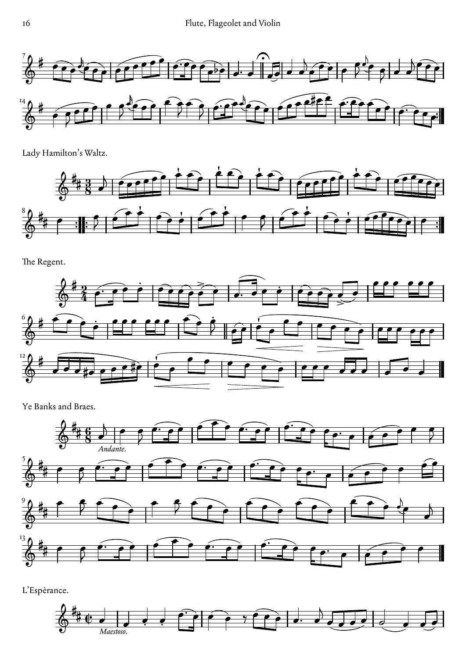![](_page_15_Figure_1.jpeg)

Lady Hamilton's Waltz.

![](_page_15_Figure_3.jpeg)

The Regent.

![](_page_15_Figure_5.jpeg)

Ye Banks and Braes.

![](_page_15_Figure_7.jpeg)

L'Espèrance.

![](_page_15_Figure_9.jpeg)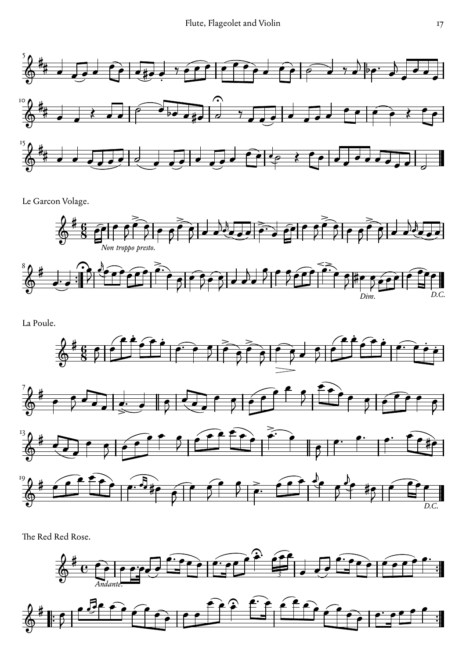![](_page_16_Figure_1.jpeg)

Le Garcon Volage.

![](_page_16_Figure_3.jpeg)

![](_page_16_Figure_4.jpeg)

The Red Red Rose.

![](_page_16_Figure_6.jpeg)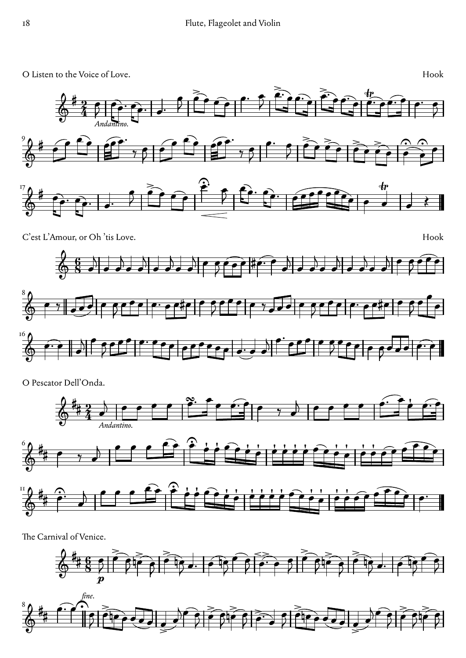![](_page_17_Figure_1.jpeg)

![](_page_17_Figure_2.jpeg)

![](_page_17_Figure_3.jpeg)

O Pescator Dell'Onda.

![](_page_17_Figure_5.jpeg)

![](_page_17_Figure_6.jpeg)

![](_page_17_Figure_7.jpeg)

The Carnival of Venice.

![](_page_17_Figure_9.jpeg)

![](_page_17_Figure_10.jpeg)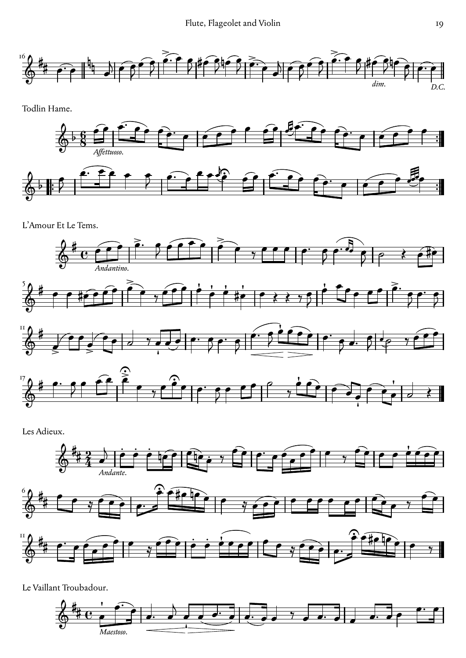![](_page_18_Figure_1.jpeg)

Todlin Hame.

![](_page_18_Figure_3.jpeg)

L'Amour Et Le Tems.

![](_page_18_Figure_5.jpeg)

Les Adieux.

![](_page_18_Figure_7.jpeg)

Le Vaillant Troubadour.

![](_page_18_Figure_9.jpeg)